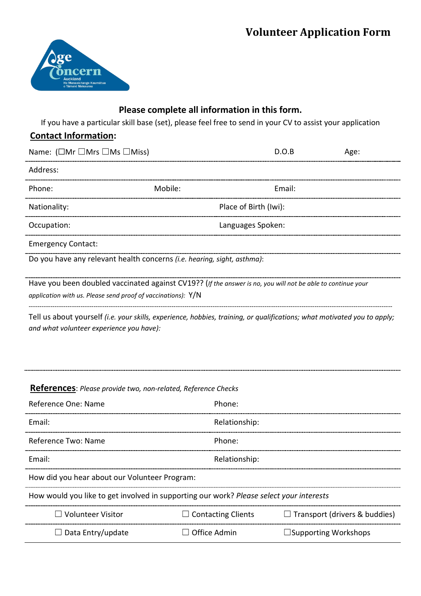# **Volunteer Application Form**



## **Please complete all information in this form.**

If you have a particular skill base (set), please feel free to send in your CV to assist your application

### **Contact Information:**

| Name: $(\Box Mr \Box Mrs \Box Ms \Box Miss)$                                                                |                       | D.O.B             | Age: |  |  |
|-------------------------------------------------------------------------------------------------------------|-----------------------|-------------------|------|--|--|
| Address:                                                                                                    |                       |                   |      |  |  |
| Phone:                                                                                                      | Mobile:               | Email:            |      |  |  |
| Nationality:                                                                                                | Place of Birth (Iwi): |                   |      |  |  |
| Occupation:                                                                                                 |                       | Languages Spoken: |      |  |  |
| <b>Emergency Contact:</b>                                                                                   |                       |                   |      |  |  |
| Do you have any relevant health concerns (i.e. hearing, sight, asthma):                                     |                       |                   |      |  |  |
| Have you been doubled vaccinated against CV19?? (If the answer is no, you will not be able to continue your |                       |                   |      |  |  |
| application with us. Please send proof of vaccinations): $Y/N$                                              |                       |                   |      |  |  |
|                                                                                                             |                       |                   |      |  |  |

Tell us about yourself *(i.e. your skills, experience, hobbies, training, or qualifications; what motivated you to apply; and what volunteer experience you have):*

#### **References**: *Please provide two, non-related, Reference Checks*

| Reference One: Name                                                                     | Phone:                    |                                      |  |  |
|-----------------------------------------------------------------------------------------|---------------------------|--------------------------------------|--|--|
| Fmail:                                                                                  | Relationship:             |                                      |  |  |
| Reference Two: Name                                                                     | Phone:                    |                                      |  |  |
| Email:                                                                                  | Relationship:             |                                      |  |  |
| How did you hear about our Volunteer Program:                                           |                           |                                      |  |  |
| How would you like to get involved in supporting our work? Please select your interests |                           |                                      |  |  |
| $\Box$ Volunteer Visitor                                                                | $\Box$ Contacting Clients | $\Box$ Transport (drivers & buddies) |  |  |
| $\Box$ Data Entry/update                                                                | <b>Office Admin</b>       | $\Box$ Supporting Workshops          |  |  |